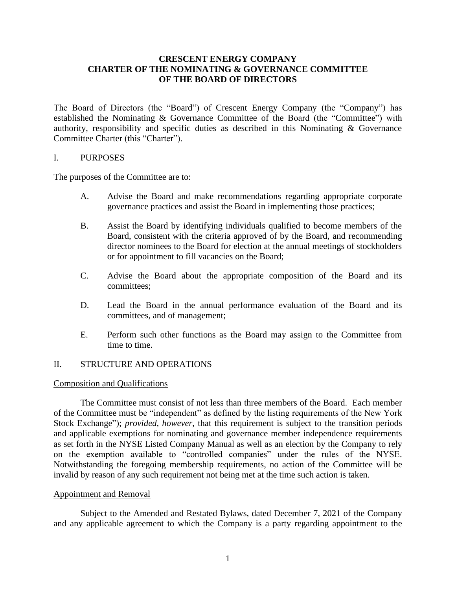# **CRESCENT ENERGY COMPANY CHARTER OF THE NOMINATING & GOVERNANCE COMMITTEE OF THE BOARD OF DIRECTORS**

The Board of Directors (the "Board") of Crescent Energy Company (the "Company") has established the Nominating & Governance Committee of the Board (the "Committee") with authority, responsibility and specific duties as described in this Nominating & Governance Committee Charter (this "Charter").

#### I. PURPOSES

The purposes of the Committee are to:

- A. Advise the Board and make recommendations regarding appropriate corporate governance practices and assist the Board in implementing those practices;
- B. Assist the Board by identifying individuals qualified to become members of the Board, consistent with the criteria approved of by the Board, and recommending director nominees to the Board for election at the annual meetings of stockholders or for appointment to fill vacancies on the Board;
- C. Advise the Board about the appropriate composition of the Board and its committees;
- D. Lead the Board in the annual performance evaluation of the Board and its committees, and of management;
- E. Perform such other functions as the Board may assign to the Committee from time to time.

### II. STRUCTURE AND OPERATIONS

#### Composition and Qualifications

The Committee must consist of not less than three members of the Board. Each member of the Committee must be "independent" as defined by the listing requirements of the New York Stock Exchange"); *provided, however*, that this requirement is subject to the transition periods and applicable exemptions for nominating and governance member independence requirements as set forth in the NYSE Listed Company Manual as well as an election by the Company to rely on the exemption available to "controlled companies" under the rules of the NYSE. Notwithstanding the foregoing membership requirements, no action of the Committee will be invalid by reason of any such requirement not being met at the time such action is taken.

#### Appointment and Removal

Subject to the Amended and Restated Bylaws, dated December 7, 2021 of the Company and any applicable agreement to which the Company is a party regarding appointment to the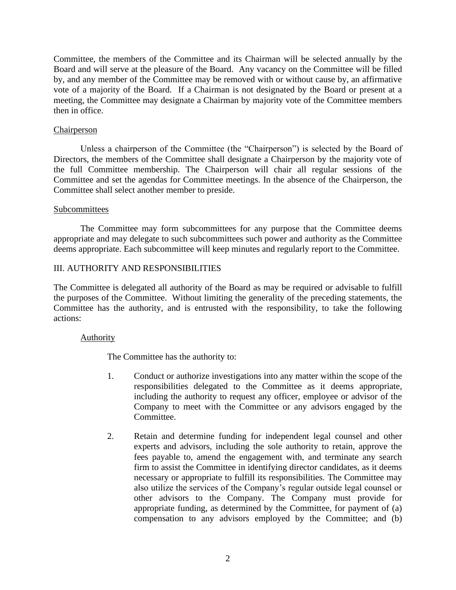Committee, the members of the Committee and its Chairman will be selected annually by the Board and will serve at the pleasure of the Board. Any vacancy on the Committee will be filled by, and any member of the Committee may be removed with or without cause by, an affirmative vote of a majority of the Board. If a Chairman is not designated by the Board or present at a meeting, the Committee may designate a Chairman by majority vote of the Committee members then in office.

### Chairperson

Unless a chairperson of the Committee (the "Chairperson") is selected by the Board of Directors, the members of the Committee shall designate a Chairperson by the majority vote of the full Committee membership. The Chairperson will chair all regular sessions of the Committee and set the agendas for Committee meetings. In the absence of the Chairperson, the Committee shall select another member to preside.

### Subcommittees

The Committee may form subcommittees for any purpose that the Committee deems appropriate and may delegate to such subcommittees such power and authority as the Committee deems appropriate. Each subcommittee will keep minutes and regularly report to the Committee.

# III. AUTHORITY AND RESPONSIBILITIES

The Committee is delegated all authority of the Board as may be required or advisable to fulfill the purposes of the Committee. Without limiting the generality of the preceding statements, the Committee has the authority, and is entrusted with the responsibility, to take the following actions:

### Authority

The Committee has the authority to:

- 1. Conduct or authorize investigations into any matter within the scope of the responsibilities delegated to the Committee as it deems appropriate, including the authority to request any officer, employee or advisor of the Company to meet with the Committee or any advisors engaged by the Committee.
- 2. Retain and determine funding for independent legal counsel and other experts and advisors, including the sole authority to retain, approve the fees payable to, amend the engagement with, and terminate any search firm to assist the Committee in identifying director candidates, as it deems necessary or appropriate to fulfill its responsibilities. The Committee may also utilize the services of the Company's regular outside legal counsel or other advisors to the Company. The Company must provide for appropriate funding, as determined by the Committee, for payment of (a) compensation to any advisors employed by the Committee; and (b)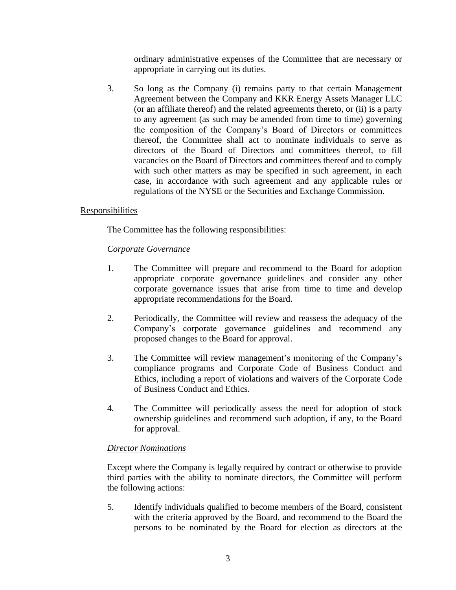ordinary administrative expenses of the Committee that are necessary or appropriate in carrying out its duties.

3. So long as the Company (i) remains party to that certain Management Agreement between the Company and KKR Energy Assets Manager LLC (or an affiliate thereof) and the related agreements thereto, or (ii) is a party to any agreement (as such may be amended from time to time) governing the composition of the Company's Board of Directors or committees thereof, the Committee shall act to nominate individuals to serve as directors of the Board of Directors and committees thereof, to fill vacancies on the Board of Directors and committees thereof and to comply with such other matters as may be specified in such agreement, in each case, in accordance with such agreement and any applicable rules or regulations of the NYSE or the Securities and Exchange Commission.

# Responsibilities

The Committee has the following responsibilities:

### *Corporate Governance*

- 1. The Committee will prepare and recommend to the Board for adoption appropriate corporate governance guidelines and consider any other corporate governance issues that arise from time to time and develop appropriate recommendations for the Board.
- 2. Periodically, the Committee will review and reassess the adequacy of the Company's corporate governance guidelines and recommend any proposed changes to the Board for approval.
- 3. The Committee will review management's monitoring of the Company's compliance programs and Corporate Code of Business Conduct and Ethics, including a report of violations and waivers of the Corporate Code of Business Conduct and Ethics.
- 4. The Committee will periodically assess the need for adoption of stock ownership guidelines and recommend such adoption, if any, to the Board for approval.

# *Director Nominations*

Except where the Company is legally required by contract or otherwise to provide third parties with the ability to nominate directors, the Committee will perform the following actions:

5. Identify individuals qualified to become members of the Board, consistent with the criteria approved by the Board, and recommend to the Board the persons to be nominated by the Board for election as directors at the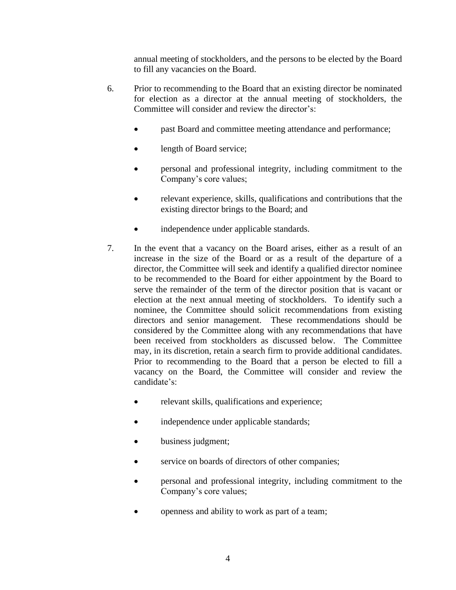annual meeting of stockholders, and the persons to be elected by the Board to fill any vacancies on the Board.

- 6. Prior to recommending to the Board that an existing director be nominated for election as a director at the annual meeting of stockholders, the Committee will consider and review the director's:
	- past Board and committee meeting attendance and performance;
	- length of Board service;
	- personal and professional integrity, including commitment to the Company's core values;
	- relevant experience, skills, qualifications and contributions that the existing director brings to the Board; and
	- independence under applicable standards.
- 7. In the event that a vacancy on the Board arises, either as a result of an increase in the size of the Board or as a result of the departure of a director, the Committee will seek and identify a qualified director nominee to be recommended to the Board for either appointment by the Board to serve the remainder of the term of the director position that is vacant or election at the next annual meeting of stockholders. To identify such a nominee, the Committee should solicit recommendations from existing directors and senior management. These recommendations should be considered by the Committee along with any recommendations that have been received from stockholders as discussed below. The Committee may, in its discretion, retain a search firm to provide additional candidates. Prior to recommending to the Board that a person be elected to fill a vacancy on the Board, the Committee will consider and review the candidate's:
	- relevant skills, qualifications and experience;
	- independence under applicable standards;
	- business judgment;
	- service on boards of directors of other companies;
	- personal and professional integrity, including commitment to the Company's core values;
	- openness and ability to work as part of a team;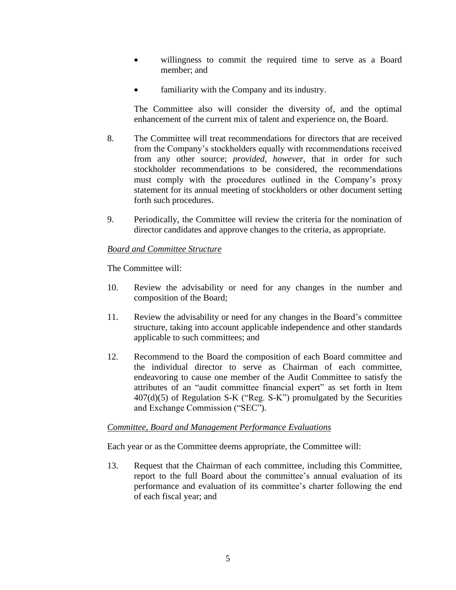- willingness to commit the required time to serve as a Board member; and
- familiarity with the Company and its industry.

The Committee also will consider the diversity of, and the optimal enhancement of the current mix of talent and experience on, the Board.

- 8. The Committee will treat recommendations for directors that are received from the Company's stockholders equally with recommendations received from any other source; *provided, however*, that in order for such stockholder recommendations to be considered, the recommendations must comply with the procedures outlined in the Company's proxy statement for its annual meeting of stockholders or other document setting forth such procedures.
- 9. Periodically, the Committee will review the criteria for the nomination of director candidates and approve changes to the criteria, as appropriate.

# *Board and Committee Structure*

The Committee will:

- 10. Review the advisability or need for any changes in the number and composition of the Board;
- 11. Review the advisability or need for any changes in the Board's committee structure, taking into account applicable independence and other standards applicable to such committees; and
- 12. Recommend to the Board the composition of each Board committee and the individual director to serve as Chairman of each committee, endeavoring to cause one member of the Audit Committee to satisfy the attributes of an "audit committee financial expert" as set forth in Item  $407(d)(5)$  of Regulation S-K ("Reg. S-K") promulgated by the Securities and Exchange Commission ("SEC").

### *Committee, Board and Management Performance Evaluations*

Each year or as the Committee deems appropriate, the Committee will:

13. Request that the Chairman of each committee, including this Committee, report to the full Board about the committee's annual evaluation of its performance and evaluation of its committee's charter following the end of each fiscal year; and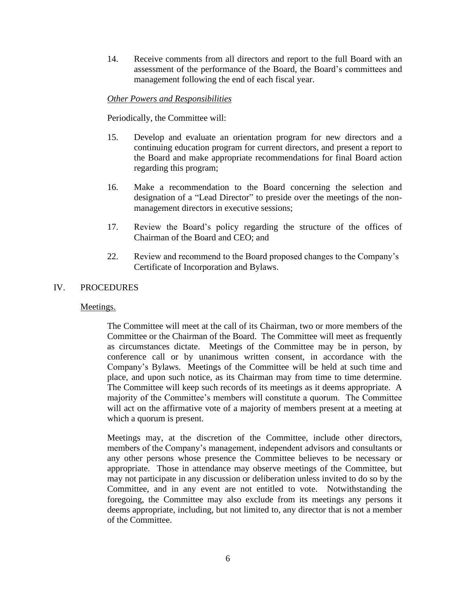14. Receive comments from all directors and report to the full Board with an assessment of the performance of the Board, the Board's committees and management following the end of each fiscal year.

### *Other Powers and Responsibilities*

Periodically, the Committee will:

- 15. Develop and evaluate an orientation program for new directors and a continuing education program for current directors, and present a report to the Board and make appropriate recommendations for final Board action regarding this program;
- 16. Make a recommendation to the Board concerning the selection and designation of a "Lead Director" to preside over the meetings of the nonmanagement directors in executive sessions;
- 17. Review the Board's policy regarding the structure of the offices of Chairman of the Board and CEO; and
- 22. Review and recommend to the Board proposed changes to the Company's Certificate of Incorporation and Bylaws.

#### IV. PROCEDURES

#### Meetings.

The Committee will meet at the call of its Chairman, two or more members of the Committee or the Chairman of the Board. The Committee will meet as frequently as circumstances dictate. Meetings of the Committee may be in person, by conference call or by unanimous written consent, in accordance with the Company's Bylaws. Meetings of the Committee will be held at such time and place, and upon such notice, as its Chairman may from time to time determine. The Committee will keep such records of its meetings as it deems appropriate. A majority of the Committee's members will constitute a quorum. The Committee will act on the affirmative vote of a majority of members present at a meeting at which a quorum is present.

Meetings may, at the discretion of the Committee, include other directors, members of the Company's management, independent advisors and consultants or any other persons whose presence the Committee believes to be necessary or appropriate. Those in attendance may observe meetings of the Committee, but may not participate in any discussion or deliberation unless invited to do so by the Committee, and in any event are not entitled to vote. Notwithstanding the foregoing, the Committee may also exclude from its meetings any persons it deems appropriate, including, but not limited to, any director that is not a member of the Committee.